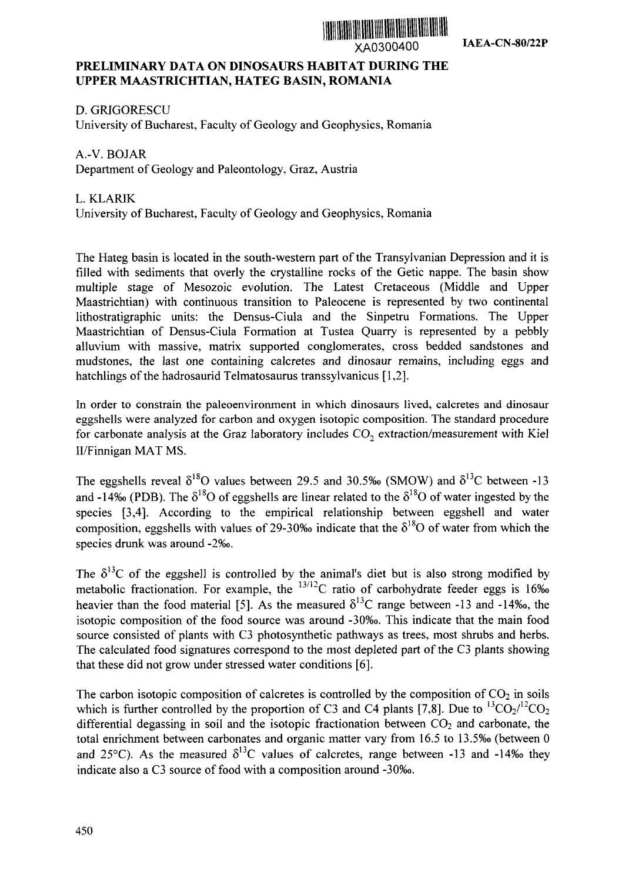

## **PRELIMINARY DATA ON DINOSAURS HABITAT DURING THE UPPER MA-ASTRICHTIAN, HATEG BASIN, ROMANIA**

**D.** GRIGORESCU University of Bucharest, Faculty of Geology and Geophysics, Romania

A.-V. BOJAR Department of Geology and Paleontology, Graz, Austria

## L. KLARIK University of Bucharest, Faculty of Geology and Geophysics, Romania

The Hateg basin is located in the south-western part of the Transylvanian Depression and it is filled with sediments that overly the crystalline rocks of the Getic nappe. The basin show multiple stage of Mesozoic evolution. The Latest Cretaceous (Middle and Upper Maastrichtian) with continuous transition to Paleocene is represented by two continental lithostratigraphic units: the Densus-Ciula and the Sinpetru Formations. The Upper Maastrichtian of Densus-Ciula Formation at Tustea Quarry is represented by a pebbly alluvium with massive, matrix supported conglomerates, cross bedded sandstones and mudstones, the last one containing calcretes and dinosaur remains, including eggs and hatchlings of the hadrosaurid Telmatosaurus transsylvanicus [1,2].

In order to constrain the paleoenvironment in which dinosaurs lived, calcretes and dinosaur eggshells were analyzed for carbon and oxygen isotopic composition. The standard procedure for carbonate analysis at the Graz laboratory includes  $CO<sub>2</sub>$  extraction/measurement with Kiel II/Finnigan MAT MS.

The eggshells reveal  $\delta^{18}O$  values between 29.5 and 30.5%o (SMOW) and  $\delta^{13}C$  between -13 and -14‰ (PDB). The  $\delta^{18}O$  of eggshells are linear related to the  $\delta^{18}O$  of water ingested by the species [3,4]. According to the empirical relationship between eggshell and water composition, eggshells with values of 29-30‰ indicate that the  $\delta^{18}$ O of water from which the species drunk was around -2%o.

The  $\delta^{13}$ C of the eggshell is controlled by the animal's diet but is also strong modified by metabolic fractionation. For example, the  $13/12$ C ratio of carbohydrate feeder eggs is 16% heavier than the food material [5]. As the measured  $\delta^{13}$ C range between -13 and -14‰, the isotopic composition of the food source was around -30%o. This indicate that the main food source consisted of plants with C3 photosynthetic pathways as trees, most shrubs and herbs. The calculated food signatures correspond to the most depleted part of the C3 plants showing that these did not grow under stressed water conditions [6].

The carbon isotopic composition of calcretes is controlled by the composition of  $CO<sub>2</sub>$  in soils which is further controlled by the proportion of C3 and C4 plants [7,8]. Due to  ${}^{13}CO_{2}/{}^{12}CO_{2}$ differential degassing in soil and the isotopic fractionation between  $CO<sub>2</sub>$  and carbonate, the total enrichment between carbonates and organic matter vary from 16.5 to 13.5‰ (between 0 and  $25^{\circ}$ C). As the measured  $\delta^{13}$ C values of calcretes, range between -13 and -14% they indicate also a C3 source of food with a composition around -30%o.